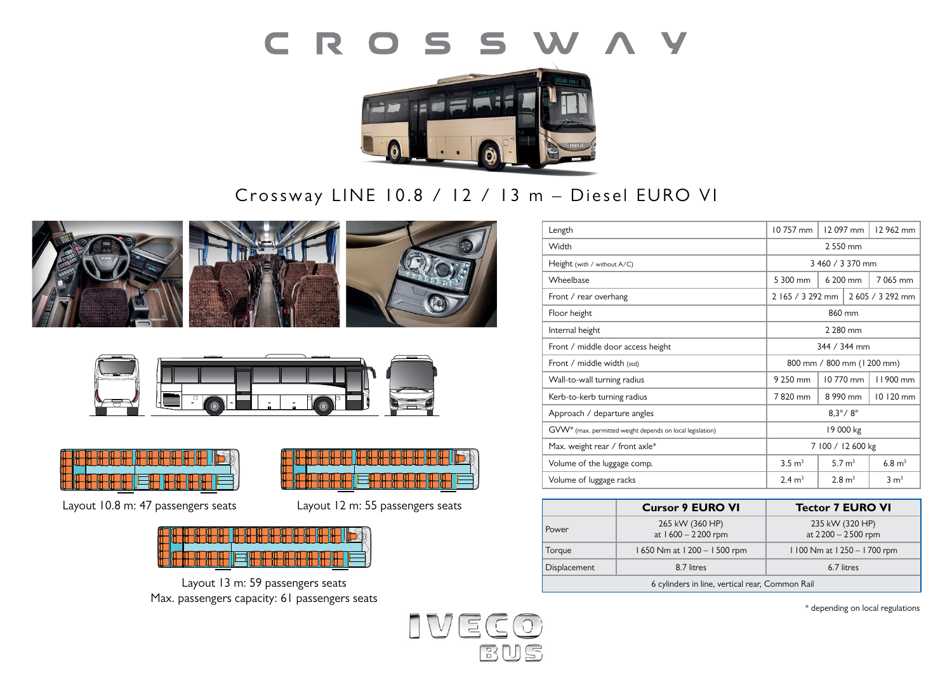



# Crossway LINE 10.8 / 12 / 13 m - Diesel EURO VI











**Layout: 1** 59 places **1**  $\overline{1}$ Layout 10.8 m: 47 passengers seats Layout 12 m: 55 passengers seats



Layout 13 m: 59 passengers seats Max. passengers capacity: 61 passengers seats



|                                                 | <b>Cursor 9 EURO VI</b>               | <b>Tector 7 EURO VI</b>               |
|-------------------------------------------------|---------------------------------------|---------------------------------------|
| Power                                           | 265 kW (360 HP)<br>at 1600 - 2200 rpm | 235 kW (320 HP)<br>at 2200 - 2500 rpm |
| Torque                                          | 1650 Nm at 1200 - 1500 rpm            | 1100 Nm at 1250 - 1700 rpm            |
| Displacement                                    | 8.7 litres                            | 6.7 litres                            |
| 6 cylinders in line, vertical rear, Common Rail |                                       |                                       |

\* depending on local regulations